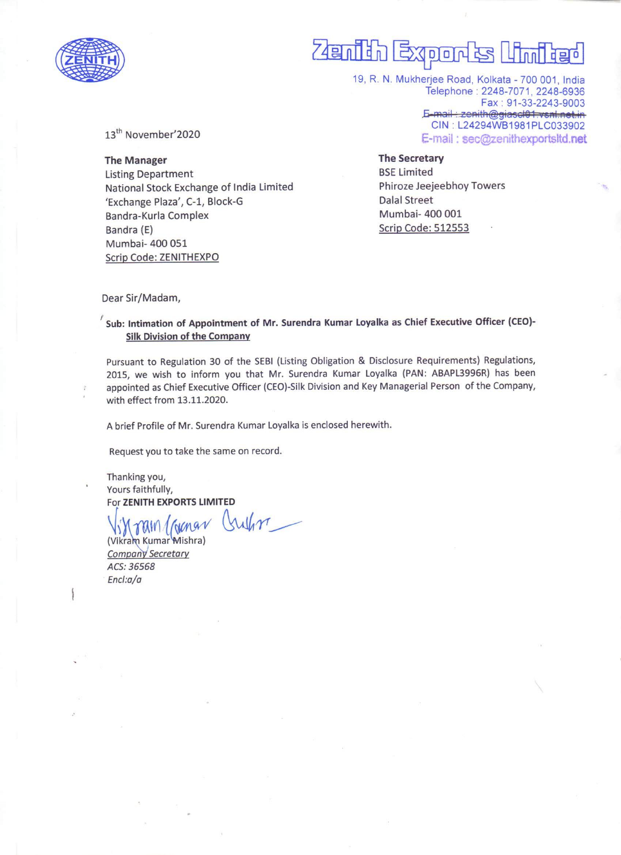

## $\overline{\phantom{a}}$ enih Exports Uni<mark>te</mark>d  $\overline{P}$

19, R. N. Mukherjee Road, Kolkata - 700 001, India Telephone : 2248-7071, 2248-6936 Fax : 91-33-2243-9003 E-mail: zenith@giascl01.vsnl.net.in<br>CIN : L24294WB1981PLC033902 E-mail : sec@zenithexportsltd.net

13<sup>th</sup> November'2020

The Manager Listing Department National Stock Exchange of India Limited 'Exchange Plaza', C-1, Block-G Bandra-Kurla Complex Bandra (E) Mumbai- 400 051 Scrip Code: ZENITHEXPO

The Secretary BSE Limited Phiroze Jeejeebhoy Towers Dalal Street Mumbai- 400 001 Scrip Code: 512553

Dear Sir/Madam,

## $'$  Sub: Intimation of Appointment of Mr. Surendra Kumar Loyalka as Chief Executive Officer (CEO)-Silk Division of the Company

Pursuant to Regulation 30 of the SEBI (Listing Obligation & Disclosure Requirements) Regulations, 2015, we wish to inform you that Mr. Surendra Kumar Loyalka (PAN: ABAPL3996R) has been appointed as Chief Executive Officer (CEO)-Silk Division and Key Managerial Person of the Company, with effect from 13.11.2020.

A brief Profile of Mr. Surendra Kumar Loyalka is enclosed herewith.

Request you to take the same on record.

Thanking you, Yours faithfully,

For ZENITH EXPORTS LIMITED<br>Vin Tam / Granav (sulfor

(Vikram Kumar Mishra) Company Secretary ACS: 36568 Encl:a/a